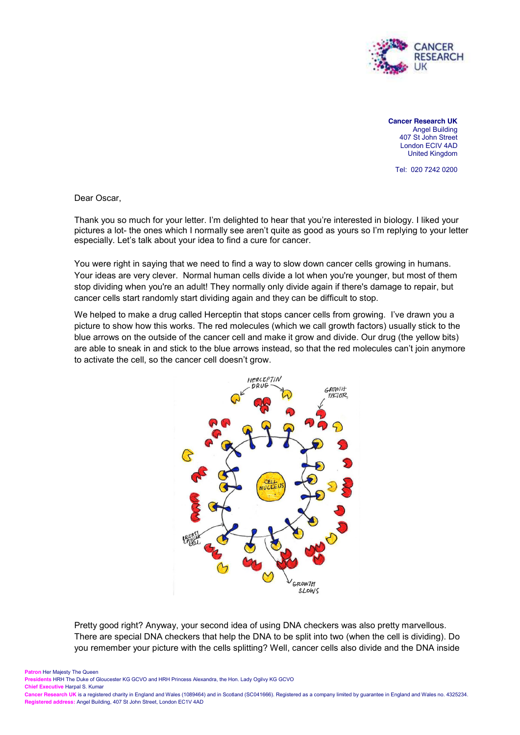

**Cancer Research UK** Angel Building 407 St John Street London ECIV 4AD United Kingdom

Tel: 020 7242 0200

Dear Oscar,

Thank you so much for your letter. I'm delighted to hear that you're interested in biology. I liked your pictures a lot- the ones which I normally see aren't quite as good as yours so I'm replying to your letter especially. Let's talk about your idea to find a cure for cancer.

You were right in saying that we need to find a way to slow down cancer cells growing in humans. Your ideas are very clever. Normal human cells divide a lot when you're younger, but most of them stop dividing when you're an adult! They normally only divide again if there's damage to repair, but cancer cells start randomly start dividing again and they can be difficult to stop.

We helped to make a drug called Herceptin that stops cancer cells from growing. I've drawn you a picture to show how this works. The red molecules (which we call growth factors) usually stick to the blue arrows on the outside of the cancer cell and make it grow and divide. Our drug (the yellow bits) are able to sneak in and stick to the blue arrows instead, so that the red molecules can't join anymore to activate the cell, so the cancer cell doesn't grow.



Pretty good right? Anyway, your second idea of using DNA checkers was also pretty marvellous. There are special DNA checkers that help the DNA to be split into two (when the cell is dividing). Do you remember your picture with the cells splitting? Well, cancer cells also divide and the DNA inside

**Patron Her Majesty The Queen** 

**Presidents** HRH The Duke of Gloucester KG GCVO and HRH Princess Alexandra, the Hon. Lady Ogilvy KG GCVO

**Chief Executive** Harpal S. Kumar

**Cancer Research UK** is a registered charity in England and Wales (1089464) and in Scotland (SC041666). Registered as a company limited by guarantee in England and Wales no. 4325234. **Registered address:** Angel Building, 407 St John Street, London EC1V 4AD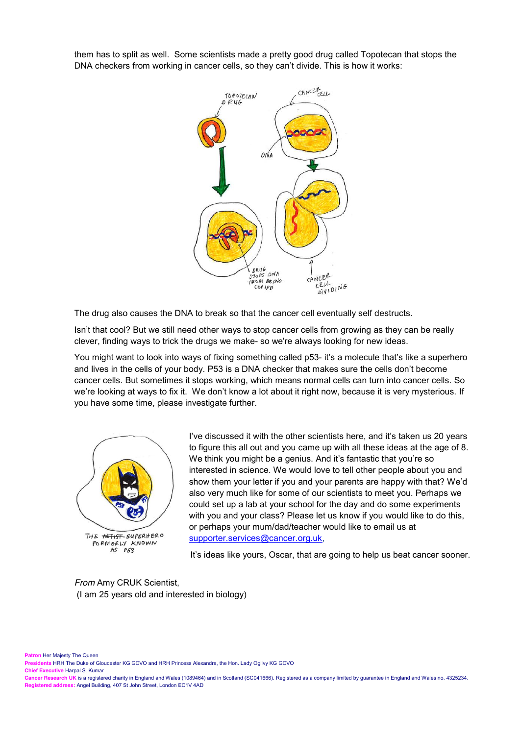them has to split as well. Some scientists made a pretty good drug called Topotecan that stops the DNA checkers from working in cancer cells, so they can't divide. This is how it works:



The drug also causes the DNA to break so that the cancer cell eventually self destructs.

Isn't that cool? But we still need other ways to stop cancer cells from growing as they can be really clever, finding ways to trick the drugs we make- so we're always looking for new ideas.

You might want to look into ways of fixing something called p53- it's a molecule that's like a superhero and lives in the cells of your body. P53 is a DNA checker that makes sure the cells don't become cancer cells. But sometimes it stops working, which means normal cells can turn into cancer cells. So we're looking at ways to fix it. We don't know a lot about it right now, because it is very mysterious. If you have some time, please investigate further.



I've discussed it with the other scientists here, and it's taken us 20 years to figure this all out and you came up with all these ideas at the age of 8. We think you might be a genius. And it's fantastic that you're so interested in science. We would love to tell other people about you and show them your letter if you and your parents are happy with that? We'd also very much like for some of our scientists to meet you. Perhaps we could set up a lab at your school for the day and do some experiments with you and your class? Please let us know if you would like to do this, or perhaps your mum/dad/teacher would like to email us at [supporter.services@cancer.org.uk,](mailto:supporter.services@cancer.org.uk)

It's ideas like yours, Oscar, that are going to help us beat cancer sooner.

*From* Amy CRUK Scientist, (I am 25 years old and interested in biology)

**Patron** Her Majesty The Queen

**Presidents** HRH The Duke of Gloucester KG GCVO and HRH Princess Alexandra, the Hon. Lady Ogilvy KG GCVO

**Chief Executive** Harpal S. Kumar

**Cancer Research UK** is a registered charity in England and Wales (1089464) and in Scotland (SC041666). Registered as a company limited by guarantee in England and Wales no. 4325234. **Registered address:** Angel Building, 407 St John Street, London EC1V 4AD